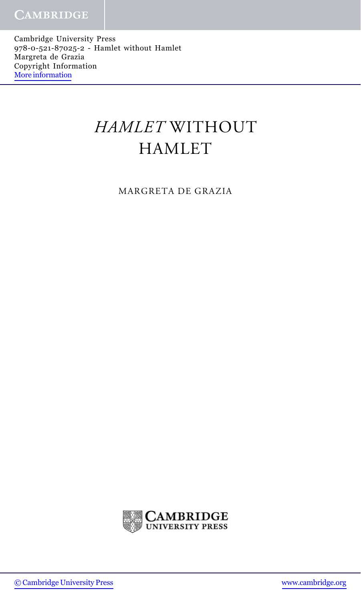Cambridge University Press 978-0-521-87025-2 - Hamlet without Hamlet Margreta de Grazia Copyright Information [More information](http://www.cambridge.org/0521870259)

## HAMLET WITHOUT HAMLET

MARGRETA DE GRAZIA